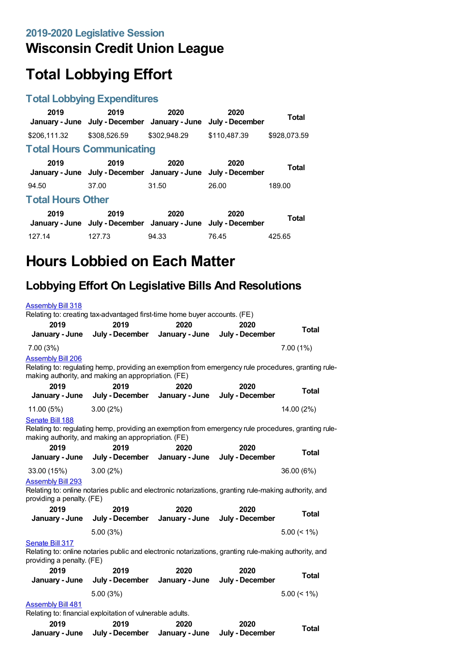## **Wisconsin Credit Union League**

# **Total Lobbying Effort**

#### **Total Lobbying Expenditures**

| 2019                     | 2019<br>January - June July - December January - June                 | 2020         | 2020<br>July - December | <b>Total</b> |  |
|--------------------------|-----------------------------------------------------------------------|--------------|-------------------------|--------------|--|
| \$206,111.32             | \$308,526.59                                                          | \$302,948.29 | \$110.487.39            | \$928,073.59 |  |
|                          | <b>Total Hours Communicating</b>                                      |              |                         |              |  |
| 2019                     | 2019<br>January - June July - December January - June July - December | 2020         | 2020                    | <b>Total</b> |  |
| 94.50                    | 37.00                                                                 | 31.50        | 26.00                   | 189.00       |  |
| <b>Total Hours Other</b> |                                                                       |              |                         |              |  |
| 2019                     | 2019<br>January - June July - December January - June July - December | 2020         | 2020                    | Total        |  |
| 127.14                   | 127.73                                                                | 94.33        | 76.45                   | 425.65       |  |

# **Hours Lobbied on Each Matter**

## **Lobbying Effort On Legislative Bills And Resolutions**

| <b>Assembly Bill 318</b>  | Relating to: creating tax-advantaged first-time home buyer accounts. (FE)                                                                                  |                |                 |                |
|---------------------------|------------------------------------------------------------------------------------------------------------------------------------------------------------|----------------|-----------------|----------------|
| 2019                      | 2019                                                                                                                                                       | 2020           | 2020            |                |
| January - June            | July - December                                                                                                                                            | January - June | July - December | <b>Total</b>   |
| 7.00 (3%)                 |                                                                                                                                                            |                |                 | 7.00(1%)       |
| <b>Assembly Bill 206</b>  | Relating to: regulating hemp, providing an exemption from emergency rule procedures, granting rule-<br>making authority, and making an appropriation. (FE) |                |                 |                |
| 2019                      | 2019                                                                                                                                                       | 2020           | 2020            | <b>Total</b>   |
| January - June            | July - December                                                                                                                                            | January - June | July - December |                |
| 11.00 (5%)                | 3.00(2%)                                                                                                                                                   |                |                 | 14.00 (2%)     |
| Senate Bill 188           |                                                                                                                                                            |                |                 |                |
|                           | Relating to: regulating hemp, providing an exemption from emergency rule procedures, granting rule-<br>making authority, and making an appropriation. (FE) |                |                 |                |
| 2019                      | 2019                                                                                                                                                       | 2020           | 2020            |                |
| January - June            | July - December                                                                                                                                            | January - June | July - December | <b>Total</b>   |
| 33.00 (15%)               | 3.00(2%)                                                                                                                                                   |                |                 | 36.00 (6%)     |
| <b>Assembly Bill 293</b>  |                                                                                                                                                            |                |                 |                |
| providing a penalty. (FE) | Relating to: online notaries public and electronic notarizations, granting rule-making authority, and                                                      |                |                 |                |
| 2019                      | 2019                                                                                                                                                       | 2020           | 2020            |                |
| January - June            | July - December                                                                                                                                            | January - June | July - December | <b>Total</b>   |
|                           | 5.00 (3%)                                                                                                                                                  |                |                 | $5.00 \le 1\%$ |
| Senate Bill 317           |                                                                                                                                                            |                |                 |                |
| providing a penalty. (FE) | Relating to: online notaries public and electronic notarizations, granting rule-making authority, and                                                      |                |                 |                |
| 2019                      | 2019                                                                                                                                                       | 2020           | 2020            |                |
| January - June            | July - December                                                                                                                                            | January - June | July - December | <b>Total</b>   |
|                           | 5.00 (3%)                                                                                                                                                  |                |                 | $5.00 \le 1\%$ |
| <b>Assembly Bill 481</b>  |                                                                                                                                                            |                |                 |                |
|                           | Relating to: financial exploitation of vulnerable adults.                                                                                                  |                |                 |                |
| 2019                      | 2019                                                                                                                                                       | 2020           | 2020            | <b>Total</b>   |
| January - June            | July - December                                                                                                                                            | January - June | July - December |                |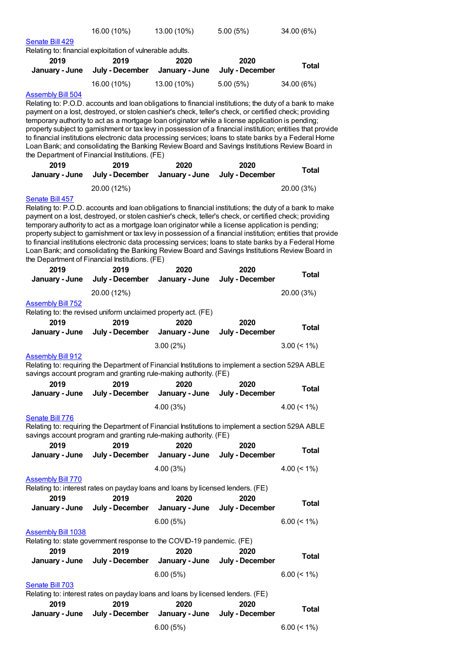|                           | 16.00 (10%)                                                                                                                                                                                                     | 13.00 (10%)    | 5.00(5%)        | 34.00 (6%)     |
|---------------------------|-----------------------------------------------------------------------------------------------------------------------------------------------------------------------------------------------------------------|----------------|-----------------|----------------|
| Senate Bill 429           |                                                                                                                                                                                                                 |                |                 |                |
|                           | Relating to: financial exploitation of vulnerable adults.                                                                                                                                                       |                |                 |                |
| 2019                      | 2019                                                                                                                                                                                                            | 2020           | 2020            |                |
| January - June            | July - December                                                                                                                                                                                                 | January - June | July - December | <b>Total</b>   |
|                           | 16.00 (10%)                                                                                                                                                                                                     | 13.00 (10%)    | 5.00(5%)        | 34.00 (6%)     |
| <b>Assembly Bill 504</b>  |                                                                                                                                                                                                                 |                |                 |                |
|                           | Relating to: P.O.D. accounts and loan obligations to financial institutions; the duty of a bank to make                                                                                                         |                |                 |                |
|                           | payment on a lost, destroyed, or stolen cashier's check, teller's check, or certified check; providing                                                                                                          |                |                 |                |
|                           | temporary authority to act as a mortgage loan originator while a license application is pending;                                                                                                                |                |                 |                |
|                           | property subject to garnishment or tax levy in possession of a financial institution; entities that provide                                                                                                     |                |                 |                |
|                           | to financial institutions electronic data processing services; loans to state banks by a Federal Home                                                                                                           |                |                 |                |
|                           | Loan Bank; and consolidating the Banking Review Board and Savings Institutions Review Board in                                                                                                                  |                |                 |                |
|                           | the Department of Financial Institutions. (FE)                                                                                                                                                                  |                |                 |                |
| 2019                      | 2019                                                                                                                                                                                                            | 2020           | 2020            |                |
| January - June            | July - December                                                                                                                                                                                                 | January - June | July - December | <b>Total</b>   |
|                           |                                                                                                                                                                                                                 |                |                 |                |
|                           | 20.00 (12%)                                                                                                                                                                                                     |                |                 | 20.00 (3%)     |
| Senate Bill 457           |                                                                                                                                                                                                                 |                |                 |                |
|                           | Relating to: P.O.D. accounts and loan obligations to financial institutions; the duty of a bank to make                                                                                                         |                |                 |                |
|                           | payment on a lost, destroyed, or stolen cashier's check, teller's check, or certified check; providing                                                                                                          |                |                 |                |
|                           | temporary authority to act as a mortgage loan originator while a license application is pending;<br>property subject to garnishment or tax levy in possession of a financial institution; entities that provide |                |                 |                |
|                           | to financial institutions electronic data processing services; loans to state banks by a Federal Home                                                                                                           |                |                 |                |
|                           | Loan Bank; and consolidating the Banking Review Board and Savings Institutions Review Board in                                                                                                                  |                |                 |                |
|                           | the Department of Financial Institutions. (FE)                                                                                                                                                                  |                |                 |                |
| 2019                      | 2019                                                                                                                                                                                                            | 2020           | 2020            |                |
| January - June            | July - December                                                                                                                                                                                                 | January - June | July - December | <b>Total</b>   |
|                           |                                                                                                                                                                                                                 |                |                 |                |
|                           | 20.00 (12%)                                                                                                                                                                                                     |                |                 | 20.00 (3%)     |
| <b>Assembly Bill 752</b>  |                                                                                                                                                                                                                 |                |                 |                |
|                           | Relating to: the revised uniform unclaimed property act. (FE)                                                                                                                                                   |                |                 |                |
| 2019                      | 2019                                                                                                                                                                                                            | 2020           | 2020            | <b>Total</b>   |
| January - June            | July - December                                                                                                                                                                                                 | January - June | July - December |                |
|                           |                                                                                                                                                                                                                 | 3.00(2%)       |                 | $3.00 \le 1\%$ |
| <b>Assembly Bill 912</b>  |                                                                                                                                                                                                                 |                |                 |                |
|                           | Relating to: requiring the Department of Financial Institutions to implement a section 529A ABLE                                                                                                                |                |                 |                |
|                           | savings account program and granting rule-making authority. (FE)                                                                                                                                                |                |                 |                |
| 2019                      | 2019                                                                                                                                                                                                            | 2020           | 2020            |                |
| January - June            | July - December                                                                                                                                                                                                 | January - June | July - December | <b>Total</b>   |
|                           |                                                                                                                                                                                                                 |                |                 |                |
|                           |                                                                                                                                                                                                                 | 4.00(3%)       |                 | 4.00 $($ < 1%) |
| Senate Bill 776           |                                                                                                                                                                                                                 |                |                 |                |
|                           | Relating to: requiring the Department of Financial Institutions to implement a section 529A ABLE                                                                                                                |                |                 |                |
|                           | savings account program and granting rule-making authority. (FE)                                                                                                                                                |                |                 |                |
| 2019                      | 2019                                                                                                                                                                                                            | 2020           | 2020            | <b>Total</b>   |
| January - June            | July - December                                                                                                                                                                                                 | January - June | July - December |                |
|                           |                                                                                                                                                                                                                 | 4.00(3%)       |                 | $4.00 (< 1\%)$ |
| <b>Assembly Bill 770</b>  |                                                                                                                                                                                                                 |                |                 |                |
|                           | Relating to: interest rates on payday loans and loans by licensed lenders. (FE)                                                                                                                                 |                |                 |                |
| 2019                      | 2019                                                                                                                                                                                                            | 2020           | 2020            |                |
| January - June            | July - December                                                                                                                                                                                                 | January - June | July - December | <b>Total</b>   |
|                           |                                                                                                                                                                                                                 |                |                 |                |
|                           |                                                                                                                                                                                                                 | 6.00(5%)       |                 | $6.00 (< 1\%)$ |
| <b>Assembly Bill 1038</b> |                                                                                                                                                                                                                 |                |                 |                |
|                           | Relating to: state government response to the COVID-19 pandemic. (FE)                                                                                                                                           |                |                 |                |
| 2019                      | 2019                                                                                                                                                                                                            | 2020           | 2020            |                |
| January - June            | July - December                                                                                                                                                                                                 | January - June | July - December | <b>Total</b>   |
|                           |                                                                                                                                                                                                                 |                |                 |                |
|                           |                                                                                                                                                                                                                 | 6.00(5%)       |                 | $6.00 \le 1\%$ |
| Senate Bill 703           |                                                                                                                                                                                                                 |                |                 |                |
|                           | Relating to: interest rates on payday loans and loans by licensed lenders. (FE)                                                                                                                                 |                |                 |                |
| 2019                      | 2019                                                                                                                                                                                                            | 2020           | 2020            | <b>Total</b>   |
| January - June            | July - December                                                                                                                                                                                                 | January - June | July - December |                |
|                           |                                                                                                                                                                                                                 | 6.00(5%)       |                 | $6.00 (< 1\%)$ |
|                           |                                                                                                                                                                                                                 |                |                 |                |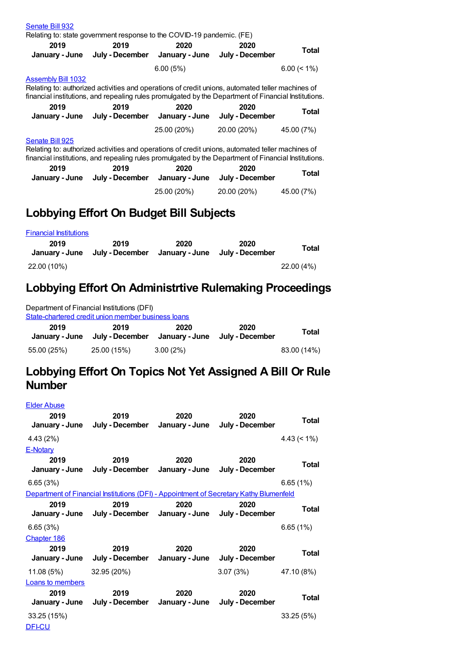| Senate Bill 932           | Relating to: state government response to the COVID-19 pandemic. (FE)                                                                                                                                    |             |                                                                                                              |                |
|---------------------------|----------------------------------------------------------------------------------------------------------------------------------------------------------------------------------------------------------|-------------|--------------------------------------------------------------------------------------------------------------|----------------|
| 2019                      | 2019<br>January - June July - December January - June                                                                                                                                                    | 2020        | 2020<br>July - December                                                                                      | Total          |
|                           |                                                                                                                                                                                                          | 6.00(5%)    |                                                                                                              | $6.00 \le 1\%$ |
| <b>Assembly Bill 1032</b> | Relating to: authorized activities and operations of credit unions, automated teller machines of<br>financial institutions, and repealing rules promulgated by the Department of Financial Institutions. |             |                                                                                                              |                |
| 2019                      | 2019<br>January - June July - December January - June July - December                                                                                                                                    | 2020        | 2020                                                                                                         | Total          |
|                           |                                                                                                                                                                                                          | 25.00 (20%) | 20.00 (20%)                                                                                                  | 45.00 (7%)     |
| Senate Bill 925           | Relating to: authorized activities and operations of credit unions, automated teller machines of                                                                                                         |             |                                                                                                              |                |
| 2019                      | 2019<br>January - June July - December January - June July - December                                                                                                                                    | 2020        | financial institutions, and repealing rules promulgated by the Department of Financial Institutions.<br>2020 | Total          |

## **Lobbying Effort On Budget Bill Subjects**

| <b>Financial Institutions</b> |                         |                        |                         |           |
|-------------------------------|-------------------------|------------------------|-------------------------|-----------|
| 2019<br>January - June        | 2019<br>July - December | 2020<br>January - June | 2020<br>July - December | Total     |
| 22.00 (10%)                   |                         |                        |                         | 22.00(4%) |

#### **Lobbying Effort On Administrtive Rulemaking Proceedings**

| Department of Financial Institutions (DFI)<br>State-chartered credit union member business loans |                         |                        |                         |             |  |
|--------------------------------------------------------------------------------------------------|-------------------------|------------------------|-------------------------|-------------|--|
| 2019<br>January - June                                                                           | 2019<br>July - December | 2020<br>January - June | 2020<br>July - December | Total       |  |
| 55.00 (25%)                                                                                      | 25.00 (15%)             | $3.00(2\%)$            |                         | 83.00 (14%) |  |

#### **Lobbying Effort On Topics Not Yet Assigned A Bill Or Rule Number**

| <b>Elder Abuse</b><br>2019<br>January - June      | 2019<br>July - December January - June                                                                                                                          | 2020                   | 2020<br>July - December | <b>Total</b>       |
|---------------------------------------------------|-----------------------------------------------------------------------------------------------------------------------------------------------------------------|------------------------|-------------------------|--------------------|
| 4.43 (2%)                                         |                                                                                                                                                                 |                        |                         | $4.43 \approx 1\%$ |
| E-Notary<br>2019<br>January - June                | 2019<br>July - December January - June                                                                                                                          | 2020                   | 2020<br>July - December | <b>Total</b>       |
| 6.65(3%)                                          |                                                                                                                                                                 |                        |                         | 6.65(1%)           |
| 2019                                              | Department of Financial Institutions (DFI) - Appointment of Secretary Kathy Blumenfeld<br>2019<br>January - June July - December January - June July - December | 2020                   | 2020                    | Total              |
| 6.65(3%)<br><b>Chapter 186</b>                    |                                                                                                                                                                 |                        |                         | 6.65(1%)           |
| 2019<br>January - June                            | 2019<br>July - December                                                                                                                                         | 2020<br>January - June | 2020<br>July - December | Total              |
| 11.08 (5%)                                        | 32.95 (20%)                                                                                                                                                     |                        | 3.07(3%)                | 47.10 (8%)         |
| <b>Loans to members</b><br>2019<br>January - June | 2019<br>July - December January - June                                                                                                                          | 2020                   | 2020<br>July - December | Total              |
| 33.25 (15%)                                       |                                                                                                                                                                 |                        |                         | 33.25(5%)          |
| <b>DFI-CU</b>                                     |                                                                                                                                                                 |                        |                         |                    |